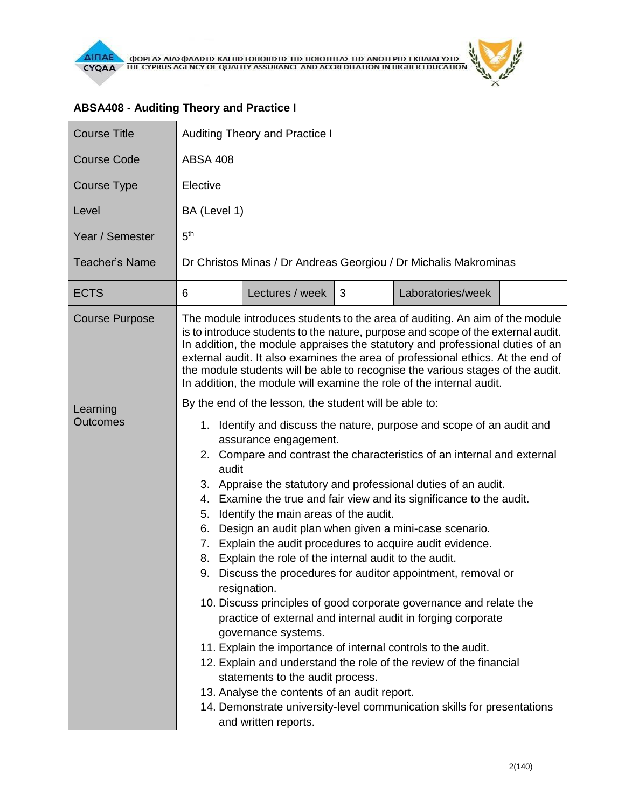| <b>Course Title</b>         | <b>Auditing Theory and Practice I</b>                                                                                                                                                                                                                                                                                                                                                                                                                                                                                                                                                                                                                                                                                                                                                                                                                                                                                                                                                                                                                                                                                                                                                                                    |                 |   |                   |  |  |  |
|-----------------------------|--------------------------------------------------------------------------------------------------------------------------------------------------------------------------------------------------------------------------------------------------------------------------------------------------------------------------------------------------------------------------------------------------------------------------------------------------------------------------------------------------------------------------------------------------------------------------------------------------------------------------------------------------------------------------------------------------------------------------------------------------------------------------------------------------------------------------------------------------------------------------------------------------------------------------------------------------------------------------------------------------------------------------------------------------------------------------------------------------------------------------------------------------------------------------------------------------------------------------|-----------------|---|-------------------|--|--|--|
| <b>Course Code</b>          | <b>ABSA 408</b>                                                                                                                                                                                                                                                                                                                                                                                                                                                                                                                                                                                                                                                                                                                                                                                                                                                                                                                                                                                                                                                                                                                                                                                                          |                 |   |                   |  |  |  |
| <b>Course Type</b>          | Elective                                                                                                                                                                                                                                                                                                                                                                                                                                                                                                                                                                                                                                                                                                                                                                                                                                                                                                                                                                                                                                                                                                                                                                                                                 |                 |   |                   |  |  |  |
| Level                       | BA (Level 1)                                                                                                                                                                                                                                                                                                                                                                                                                                                                                                                                                                                                                                                                                                                                                                                                                                                                                                                                                                                                                                                                                                                                                                                                             |                 |   |                   |  |  |  |
| Year / Semester             | 5 <sup>th</sup>                                                                                                                                                                                                                                                                                                                                                                                                                                                                                                                                                                                                                                                                                                                                                                                                                                                                                                                                                                                                                                                                                                                                                                                                          |                 |   |                   |  |  |  |
| <b>Teacher's Name</b>       | Dr Christos Minas / Dr Andreas Georgiou / Dr Michalis Makrominas                                                                                                                                                                                                                                                                                                                                                                                                                                                                                                                                                                                                                                                                                                                                                                                                                                                                                                                                                                                                                                                                                                                                                         |                 |   |                   |  |  |  |
| <b>ECTS</b>                 | 6                                                                                                                                                                                                                                                                                                                                                                                                                                                                                                                                                                                                                                                                                                                                                                                                                                                                                                                                                                                                                                                                                                                                                                                                                        | Lectures / week | 3 | Laboratories/week |  |  |  |
| <b>Course Purpose</b>       | The module introduces students to the area of auditing. An aim of the module<br>is to introduce students to the nature, purpose and scope of the external audit.<br>In addition, the module appraises the statutory and professional duties of an<br>external audit. It also examines the area of professional ethics. At the end of<br>the module students will be able to recognise the various stages of the audit.<br>In addition, the module will examine the role of the internal audit.                                                                                                                                                                                                                                                                                                                                                                                                                                                                                                                                                                                                                                                                                                                           |                 |   |                   |  |  |  |
| Learning<br><b>Outcomes</b> | By the end of the lesson, the student will be able to:<br>Identify and discuss the nature, purpose and scope of an audit and<br>1.<br>assurance engagement.<br>2. Compare and contrast the characteristics of an internal and external<br>audit<br>3. Appraise the statutory and professional duties of an audit.<br>Examine the true and fair view and its significance to the audit.<br>4.<br>Identify the main areas of the audit.<br>5.<br>Design an audit plan when given a mini-case scenario.<br>6.<br>Explain the audit procedures to acquire audit evidence.<br>7.<br>Explain the role of the internal audit to the audit.<br>8.<br>Discuss the procedures for auditor appointment, removal or<br>9.<br>resignation.<br>10. Discuss principles of good corporate governance and relate the<br>practice of external and internal audit in forging corporate<br>governance systems.<br>11. Explain the importance of internal controls to the audit.<br>12. Explain and understand the role of the review of the financial<br>statements to the audit process.<br>13. Analyse the contents of an audit report.<br>14. Demonstrate university-level communication skills for presentations<br>and written reports. |                 |   |                   |  |  |  |

## **ABSA408 - Auditing Theory and Practice I**

ó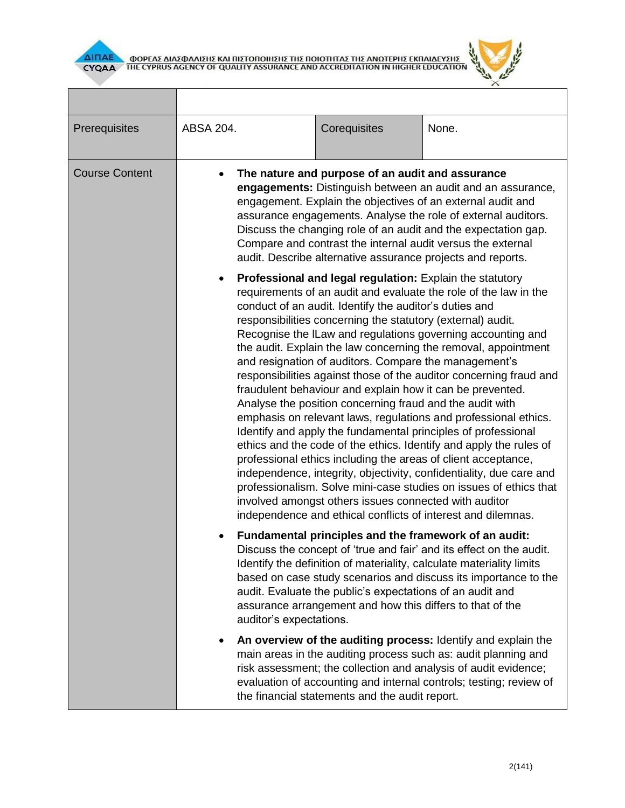



| Prerequisites         | ABSA 204.                                                                                                                                                                                                                                                                                                                                                                                                                                       | Corequisites                                                                                                                                                                                                                                                                                                                                                                                                                                                                                                                                                                                                                                                                                                                                                                                                                                                                                                                                                                                                                                                                                                                                                                                   | None.                                                                                                                                                                                                                                                                    |  |  |  |
|-----------------------|-------------------------------------------------------------------------------------------------------------------------------------------------------------------------------------------------------------------------------------------------------------------------------------------------------------------------------------------------------------------------------------------------------------------------------------------------|------------------------------------------------------------------------------------------------------------------------------------------------------------------------------------------------------------------------------------------------------------------------------------------------------------------------------------------------------------------------------------------------------------------------------------------------------------------------------------------------------------------------------------------------------------------------------------------------------------------------------------------------------------------------------------------------------------------------------------------------------------------------------------------------------------------------------------------------------------------------------------------------------------------------------------------------------------------------------------------------------------------------------------------------------------------------------------------------------------------------------------------------------------------------------------------------|--------------------------------------------------------------------------------------------------------------------------------------------------------------------------------------------------------------------------------------------------------------------------|--|--|--|
| <b>Course Content</b> | The nature and purpose of an audit and assurance<br>engagements: Distinguish between an audit and an assurance,<br>engagement. Explain the objectives of an external audit and<br>assurance engagements. Analyse the role of external auditors.<br>Discuss the changing role of an audit and the expectation gap.<br>Compare and contrast the internal audit versus the external<br>audit. Describe alternative assurance projects and reports. |                                                                                                                                                                                                                                                                                                                                                                                                                                                                                                                                                                                                                                                                                                                                                                                                                                                                                                                                                                                                                                                                                                                                                                                                |                                                                                                                                                                                                                                                                          |  |  |  |
|                       |                                                                                                                                                                                                                                                                                                                                                                                                                                                 | Professional and legal regulation: Explain the statutory<br>requirements of an audit and evaluate the role of the law in the<br>conduct of an audit. Identify the auditor's duties and<br>responsibilities concerning the statutory (external) audit.<br>Recognise the ILaw and regulations governing accounting and<br>the audit. Explain the law concerning the removal, appointment<br>and resignation of auditors. Compare the management's<br>responsibilities against those of the auditor concerning fraud and<br>fraudulent behaviour and explain how it can be prevented.<br>Analyse the position concerning fraud and the audit with<br>emphasis on relevant laws, regulations and professional ethics.<br>Identify and apply the fundamental principles of professional<br>ethics and the code of the ethics. Identify and apply the rules of<br>professional ethics including the areas of client acceptance,<br>independence, integrity, objectivity, confidentiality, due care and<br>professionalism. Solve mini-case studies on issues of ethics that<br>involved amongst others issues connected with auditor<br>independence and ethical conflicts of interest and dilemnas. |                                                                                                                                                                                                                                                                          |  |  |  |
|                       |                                                                                                                                                                                                                                                                                                                                                                                                                                                 | Fundamental principles and the framework of an audit:<br>Discuss the concept of 'true and fair' and its effect on the audit.<br>Identify the definition of materiality, calculate materiality limits<br>based on case study scenarios and discuss its importance to the<br>audit. Evaluate the public's expectations of an audit and<br>assurance arrangement and how this differs to that of the<br>auditor's expectations.                                                                                                                                                                                                                                                                                                                                                                                                                                                                                                                                                                                                                                                                                                                                                                   |                                                                                                                                                                                                                                                                          |  |  |  |
|                       |                                                                                                                                                                                                                                                                                                                                                                                                                                                 | the financial statements and the audit report.                                                                                                                                                                                                                                                                                                                                                                                                                                                                                                                                                                                                                                                                                                                                                                                                                                                                                                                                                                                                                                                                                                                                                 | An overview of the auditing process: Identify and explain the<br>main areas in the auditing process such as: audit planning and<br>risk assessment; the collection and analysis of audit evidence;<br>evaluation of accounting and internal controls; testing; review of |  |  |  |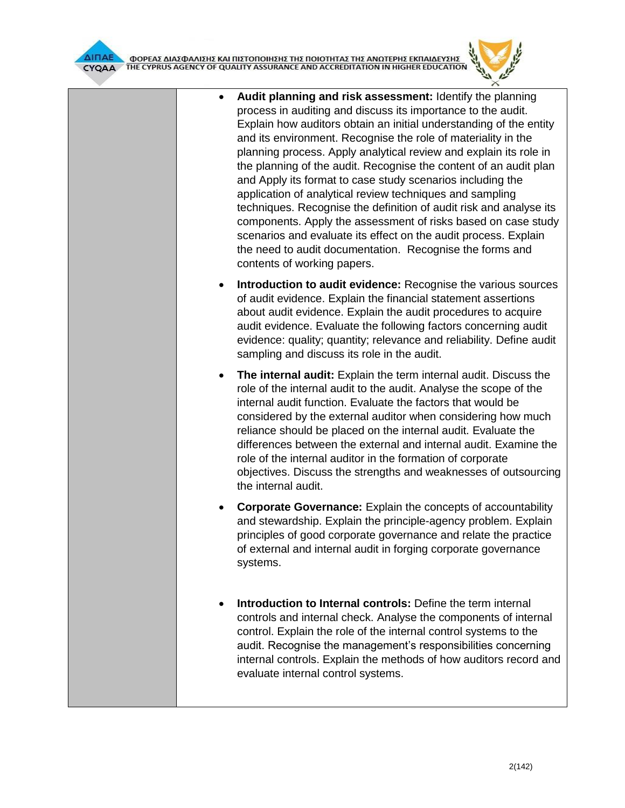

- **Audit planning and risk assessment:** Identify the planning process in auditing and discuss its importance to the audit. Explain how auditors obtain an initial understanding of the entity and its environment. Recognise the role of materiality in the planning process. Apply analytical review and explain its role in the planning of the audit. Recognise the content of an audit plan and Apply its format to case study scenarios including the application of analytical review techniques and sampling techniques. Recognise the definition of audit risk and analyse its components. Apply the assessment of risks based on case study scenarios and evaluate its effect on the audit process. Explain the need to audit documentation. Recognise the forms and contents of working papers.
- **Introduction to audit evidence:** Recognise the various sources of audit evidence. Explain the financial statement assertions about audit evidence. Explain the audit procedures to acquire audit evidence. Evaluate the following factors concerning audit evidence: quality; quantity; relevance and reliability. Define audit sampling and discuss its role in the audit.
- **The internal audit:** Explain the term internal audit. Discuss the role of the internal audit to the audit. Analyse the scope of the internal audit function. Evaluate the factors that would be considered by the external auditor when considering how much reliance should be placed on the internal audit. Evaluate the differences between the external and internal audit. Examine the role of the internal auditor in the formation of corporate objectives. Discuss the strengths and weaknesses of outsourcing the internal audit.
- **Corporate Governance:** Explain the concepts of accountability and stewardship. Explain the principle-agency problem. Explain principles of good corporate governance and relate the practice of external and internal audit in forging corporate governance systems.
- **Introduction to Internal controls:** Define the term internal controls and internal check. Analyse the components of internal control. Explain the role of the internal control systems to the audit. Recognise the management's responsibilities concerning internal controls. Explain the methods of how auditors record and evaluate internal control systems.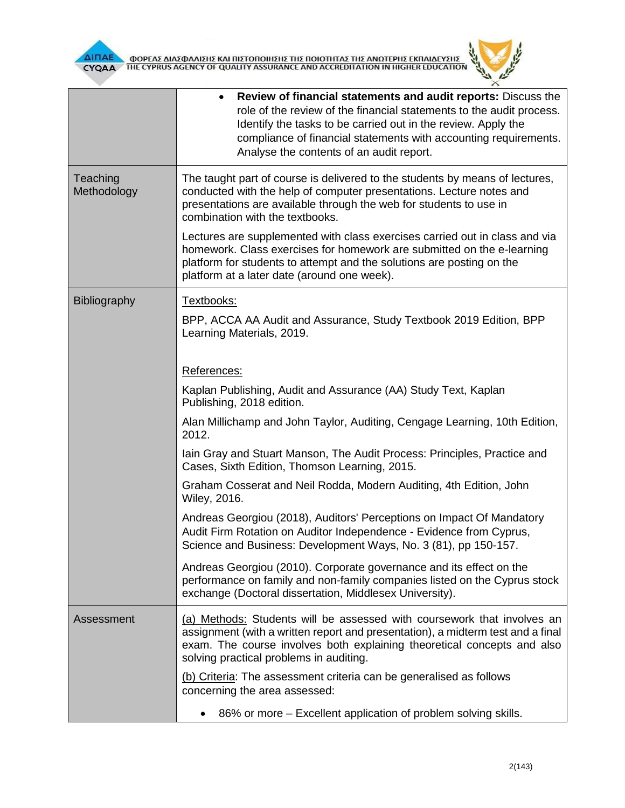



|                         | Review of financial statements and audit reports: Discuss the<br>role of the review of the financial statements to the audit process.<br>Identify the tasks to be carried out in the review. Apply the<br>compliance of financial statements with accounting requirements.<br>Analyse the contents of an audit report. |
|-------------------------|------------------------------------------------------------------------------------------------------------------------------------------------------------------------------------------------------------------------------------------------------------------------------------------------------------------------|
| Teaching<br>Methodology | The taught part of course is delivered to the students by means of lectures,<br>conducted with the help of computer presentations. Lecture notes and<br>presentations are available through the web for students to use in<br>combination with the textbooks.                                                          |
|                         | Lectures are supplemented with class exercises carried out in class and via<br>homework. Class exercises for homework are submitted on the e-learning<br>platform for students to attempt and the solutions are posting on the<br>platform at a later date (around one week).                                          |
| Bibliography            | Textbooks:<br>BPP, ACCA AA Audit and Assurance, Study Textbook 2019 Edition, BPP<br>Learning Materials, 2019.                                                                                                                                                                                                          |
|                         | References:                                                                                                                                                                                                                                                                                                            |
|                         | Kaplan Publishing, Audit and Assurance (AA) Study Text, Kaplan<br>Publishing, 2018 edition.                                                                                                                                                                                                                            |
|                         | Alan Millichamp and John Taylor, Auditing, Cengage Learning, 10th Edition,<br>2012.                                                                                                                                                                                                                                    |
|                         | Iain Gray and Stuart Manson, The Audit Process: Principles, Practice and<br>Cases, Sixth Edition, Thomson Learning, 2015.                                                                                                                                                                                              |
|                         | Graham Cosserat and Neil Rodda, Modern Auditing, 4th Edition, John<br>Wiley, 2016.                                                                                                                                                                                                                                     |
|                         | Andreas Georgiou (2018), Auditors' Perceptions on Impact Of Mandatory<br>Audit Firm Rotation on Auditor Independence - Evidence from Cyprus,<br>Science and Business: Development Ways, No. 3 (81), pp 150-157.                                                                                                        |
|                         | Andreas Georgiou (2010). Corporate governance and its effect on the<br>performance on family and non-family companies listed on the Cyprus stock<br>exchange (Doctoral dissertation, Middlesex University).                                                                                                            |
| Assessment              | (a) Methods: Students will be assessed with coursework that involves an<br>assignment (with a written report and presentation), a midterm test and a final<br>exam. The course involves both explaining theoretical concepts and also<br>solving practical problems in auditing.                                       |
|                         | (b) Criteria: The assessment criteria can be generalised as follows<br>concerning the area assessed:                                                                                                                                                                                                                   |
|                         | 86% or more – Excellent application of problem solving skills.                                                                                                                                                                                                                                                         |